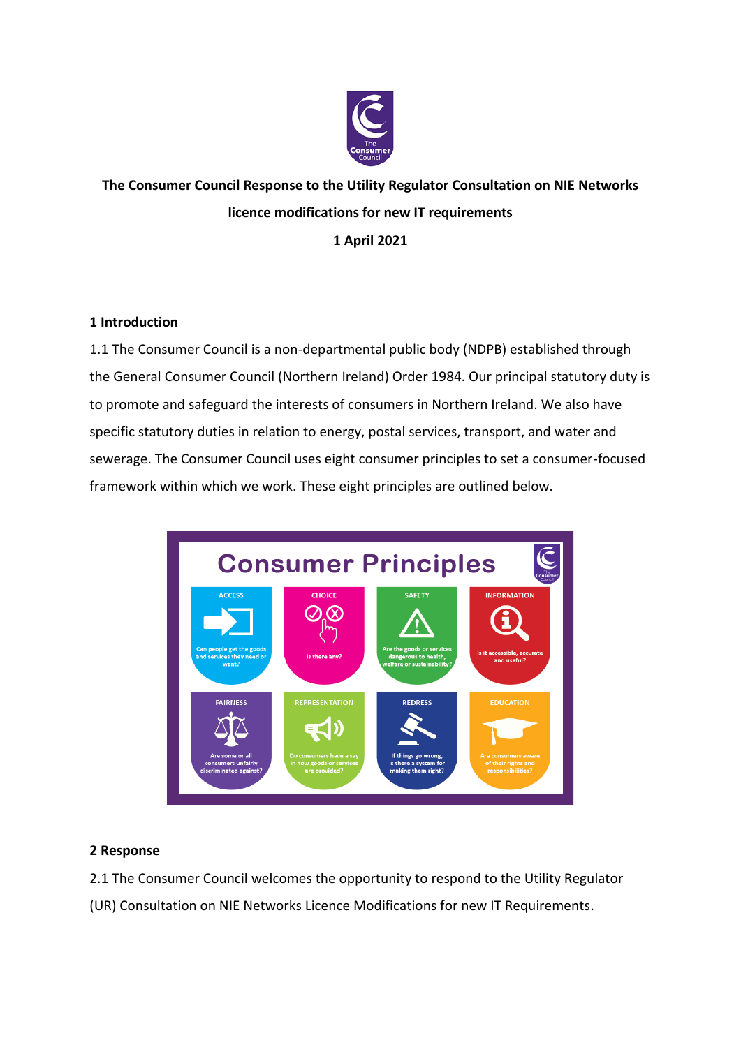

## **The Consumer Council Response to the Utility Regulator Consultation on NIE Networks licence modifications for new IT requirements 1 April 2021**

## **1 Introduction**

1.1 The Consumer Council is a non-departmental public body (NDPB) established through the General Consumer Council (Northern Ireland) Order 1984. Our principal statutory duty is to promote and safeguard the interests of consumers in Northern Ireland. We also have specific statutory duties in relation to energy, postal services, transport, and water and sewerage. The Consumer Council uses eight consumer principles to set a consumer-focused framework within which we work. These eight principles are outlined below.



## **2 Response**

2.1 The Consumer Council welcomes the opportunity to respond to the Utility Regulator (UR) Consultation on NIE Networks Licence Modifications for new IT Requirements.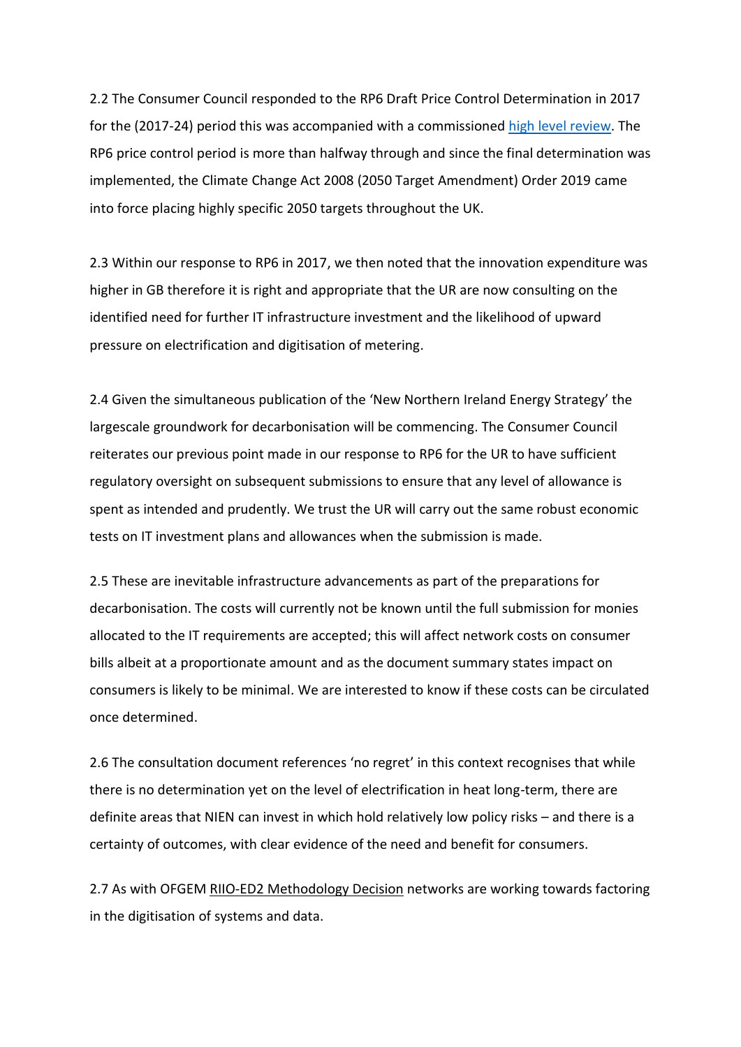2.2 The Consumer Council responded to the RP6 Draft Price Control Determination in 2017 for the (2017-24) period this was accompanied with a commissioned [high level review.](https://www.consumercouncil.org.uk/sites/default/files/original/Annex_1_ECA_High_Level_Review_of_URs_RP6_Draft_Determination.pdf) The RP6 price control period is more than halfway through and since the final determination was implemented, the Climate Change Act 2008 (2050 Target Amendment) Order 2019 came into force placing highly specific 2050 targets throughout the UK.

2.3 Within our response to RP6 in 2017, we then noted that the innovation expenditure was higher in GB therefore it is right and appropriate that the UR are now consulting on the identified need for further IT infrastructure investment and the likelihood of upward pressure on electrification and digitisation of metering.

2.4 Given the simultaneous publication of the 'New Northern Ireland Energy Strategy' the largescale groundwork for decarbonisation will be commencing. The Consumer Council reiterates our previous point made in our response to RP6 for the UR to have sufficient regulatory oversight on subsequent submissions to ensure that any level of allowance is spent as intended and prudently. We trust the UR will carry out the same robust economic tests on IT investment plans and allowances when the submission is made.

2.5 These are inevitable infrastructure advancements as part of the preparations for decarbonisation. The costs will currently not be known until the full submission for monies allocated to the IT requirements are accepted; this will affect network costs on consumer bills albeit at a proportionate amount and as the document summary states impact on consumers is likely to be minimal. We are interested to know if these costs can be circulated once determined.

2.6 The consultation document references 'no regret' in this context recognises that while there is no determination yet on the level of electrification in heat long-term, there are definite areas that NIEN can invest in which hold relatively low policy risks – and there is a certainty of outcomes, with clear evidence of the need and benefit for consumers.

2.7 As with OFGEM [RIIO-ED2 Methodology Decision](https://www.ofgem.gov.uk/system/files/docs/2020/12/ed2_ssmd_overview.pdf) networks are working towards factoring in the digitisation of systems and data.